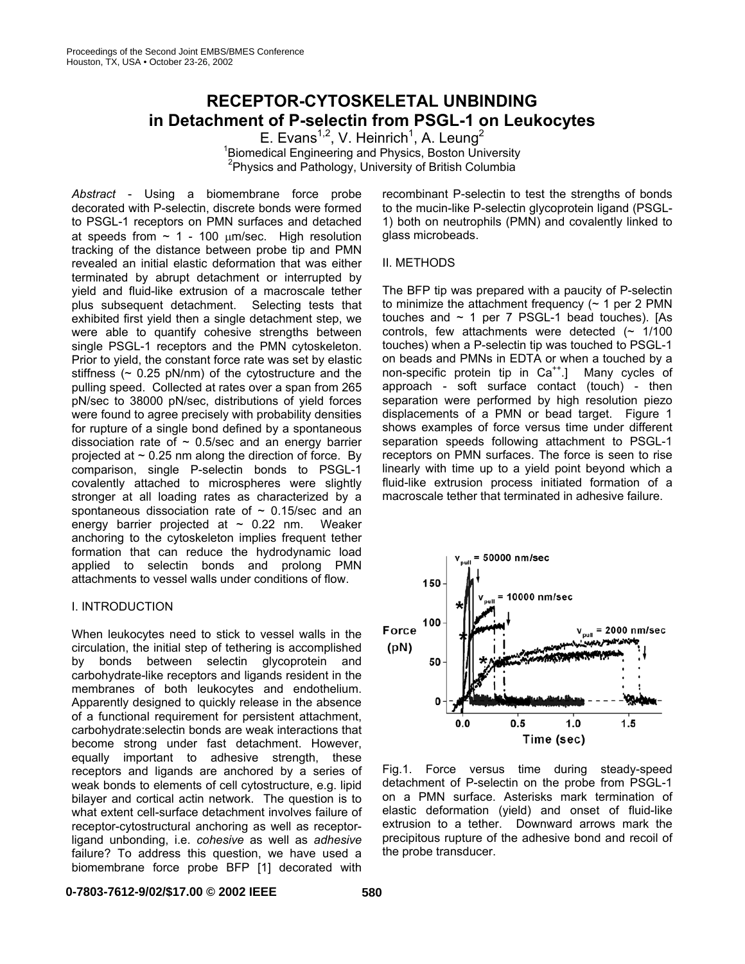# **RECEPTOR-CYTOSKELETAL UNBINDING in Detachment of P-selectin from PSGL-1 on Leukocytes**

E. Evans<sup>1,2</sup>, V. Heinrich<sup>1</sup>, A. Leung<sup>2</sup> <sup>1</sup> Biomedical Engineering and Physics, Boston University <sup>2</sup> Physics and Pathology, University of British Columbia

*Abstract* - Using a biomembrane force probe decorated with P-selectin, discrete bonds were formed to PSGL-1 receptors on PMN surfaces and detached at speeds from  $\sim$  1 - 100  $\mu$ m/sec. High resolution tracking of the distance between probe tip and PMN revealed an initial elastic deformation that was either terminated by abrupt detachment or interrupted by yield and fluid-like extrusion of a macroscale tether plus subsequent detachment. Selecting tests that exhibited first yield then a single detachment step, we were able to quantify cohesive strengths between single PSGL-1 receptors and the PMN cytoskeleton. Prior to yield, the constant force rate was set by elastic stiffness  $($   $\sim$  0.25 pN/nm) of the cytostructure and the pulling speed. Collected at rates over a span from 265 pN/sec to 38000 pN/sec, distributions of yield forces were found to agree precisely with probability densities for rupture of a single bond defined by a spontaneous dissociation rate of  $\sim$  0.5/sec and an energy barrier projected at  $\sim$  0.25 nm along the direction of force. By comparison, single P-selectin bonds to PSGL-1 covalently attached to microspheres were slightly stronger at all loading rates as characterized by a spontaneous dissociation rate of  $\sim$  0.15/sec and an energy barrier projected at  $\sim$  0.22 nm. Weaker anchoring to the cytoskeleton implies frequent tether formation that can reduce the hydrodynamic load applied to selectin bonds and prolong PMN attachments to vessel walls under conditions of flow.

#### I. INTRODUCTION

When leukocytes need to stick to vessel walls in the circulation, the initial step of tethering is accomplished by bonds between selectin glycoprotein and carbohydrate-like receptors and ligands resident in the membranes of both leukocytes and endothelium. Apparently designed to quickly release in the absence of a functional requirement for persistent attachment, carbohydrate:selectin bonds are weak interactions that become strong under fast detachment. However, equally important to adhesive strength, these receptors and ligands are anchored by a series of weak bonds to elements of cell cytostructure, e.g. lipid bilayer and cortical actin network. The question is to what extent cell-surface detachment involves failure of receptor-cytostructural anchoring as well as receptorligand unbonding, i.e. *cohesive* as well as *adhesive* failure? To address this question, we have used a biomembrane force probe BFP [1] decorated with

recombinant P-selectin to test the strengths of bonds to the mucin-like P-selectin glycoprotein ligand (PSGL-1) both on neutrophils (PMN) and covalently linked to glass microbeads.

#### II. METHODS

The BFP tip was prepared with a paucity of P-selectin to minimize the attachment frequency  $($   $\sim$  1 per 2 PMN touches and  $\sim$  1 per 7 PSGL-1 bead touches). [As controls, few attachments were detected  $($   $\sim$  1/100 touches) when a P-selectin tip was touched to PSGL-1 on beads and PMNs in EDTA or when a touched by a non-specific protein tip in  $Ca^{++}$ .] Many cycles of approach - soft surface contact (touch) - then separation were performed by high resolution piezo displacements of a PMN or bead target. Figure 1 shows examples of force versus time under different separation speeds following attachment to PSGL-1 receptors on PMN surfaces. The force is seen to rise linearly with time up to a yield point beyond which a fluid-like extrusion process initiated formation of a macroscale tether that terminated in adhesive failure.



Fig.1. Force versus time during steady-speed detachment of P-selectin on the probe from PSGL-1 on a PMN surface. Asterisks mark termination of elastic deformation (yield) and onset of fluid-like extrusion to a tether. Downward arrows mark the precipitous rupture of the adhesive bond and recoil of the probe transducer.

## **0-7803-7612-9/02/\$17.00 © 2002 IEEE 580**